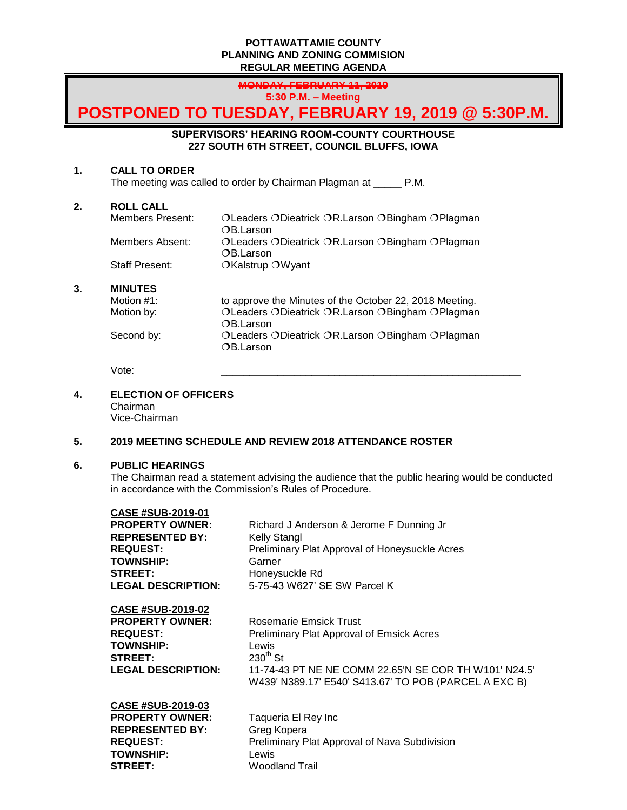## **POTTAWATTAMIE COUNTY PLANNING AND ZONING COMMISION REGULAR MEETING AGENDA**

**MONDAY, FEBRUARY 11, 2019 5:30 P.M. – Meeting**

# **POSTPONED TO TUESDAY, FEBRUARY 19, 2019 @ 5:30P.M.**

**SUPERVISORS' HEARING ROOM-COUNTY COURTHOUSE 227 SOUTH 6TH STREET, COUNCIL BLUFFS, IOWA**

### **1. CALL TO ORDER**

The meeting was called to order by Chairman Plagman at \_\_\_\_\_ P.M.

# **2. ROLL CALL**

| Members Present:      | OLeaders ODieatrick OR.Larson OBingham OPlagman  |
|-----------------------|--------------------------------------------------|
|                       | OB.Larson                                        |
| Members Absent:       | OLeaders ODieatrick OR. Larson OBingham OPlagman |
|                       | OB.Larson                                        |
| <b>Staff Present:</b> | OKalstrup OWyant                                 |

# **3. MINUTES**

| Motion #1: | to approve the Minutes of the October 22, 2018 Meeting.      |
|------------|--------------------------------------------------------------|
| Motion by: | OLeaders ODieatrick OR.Larson OBingham OPlagman              |
|            | OB.Larson                                                    |
| Second by: | OLeaders ODieatrick OR.Larson OBingham OPlagman<br>OB.Larson |

Vote: \_\_\_\_\_\_\_\_\_\_\_\_\_\_\_\_\_\_\_\_\_\_\_\_\_\_\_\_\_\_\_\_\_\_\_\_\_\_\_\_\_\_\_\_\_\_\_\_\_\_\_\_\_

# **4. ELECTION OF OFFICERS**

Chairman Vice-Chairman

# **5. 2019 MEETING SCHEDULE AND REVIEW 2018 ATTENDANCE ROSTER**

### **6. PUBLIC HEARINGS**

The Chairman read a statement advising the audience that the public hearing would be conducted in accordance with the Commission's Rules of Procedure.

| <b>CASE #SUB-2019-01</b>  |                                                                                                                |
|---------------------------|----------------------------------------------------------------------------------------------------------------|
| <b>PROPERTY OWNER:</b>    | Richard J Anderson & Jerome F Dunning Jr                                                                       |
| <b>REPRESENTED BY:</b>    | Kelly Stangl                                                                                                   |
| <b>REQUEST:</b>           | Preliminary Plat Approval of Honeysuckle Acres                                                                 |
| <b>TOWNSHIP:</b>          | Garner                                                                                                         |
| <b>STREET:</b>            | Honeysuckle Rd                                                                                                 |
| <b>LEGAL DESCRIPTION:</b> | 5-75-43 W627' SE SW Parcel K                                                                                   |
| <b>CASE #SUB-2019-02</b>  |                                                                                                                |
| <b>PROPERTY OWNER:</b>    | Rosemarie Emsick Trust                                                                                         |
| <b>REQUEST:</b>           | <b>Preliminary Plat Approval of Emsick Acres</b>                                                               |
| <b>TOWNSHIP:</b>          | Lewis                                                                                                          |
| <b>STREET:</b>            | $230th$ St                                                                                                     |
| <b>LEGAL DESCRIPTION:</b> | 11-74-43 PT NE NE COMM 22.65'N SE COR TH W101' N24.5'<br>W439' N389.17' E540' S413.67' TO POB (PARCEL A EXC B) |
| <b>CASE #SUB-2019-03</b>  |                                                                                                                |
| <b>PROPERTY OWNER:</b>    | Taqueria El Rey Inc                                                                                            |
| <b>REPRESENTED BY:</b>    | Greg Kopera                                                                                                    |
| <b>REQUEST:</b>           | Preliminary Plat Approval of Nava Subdivision                                                                  |
| <b>TOWNSHIP:</b>          | Lewis                                                                                                          |
| <b>STREET:</b>            | <b>Woodland Trail</b>                                                                                          |
|                           |                                                                                                                |